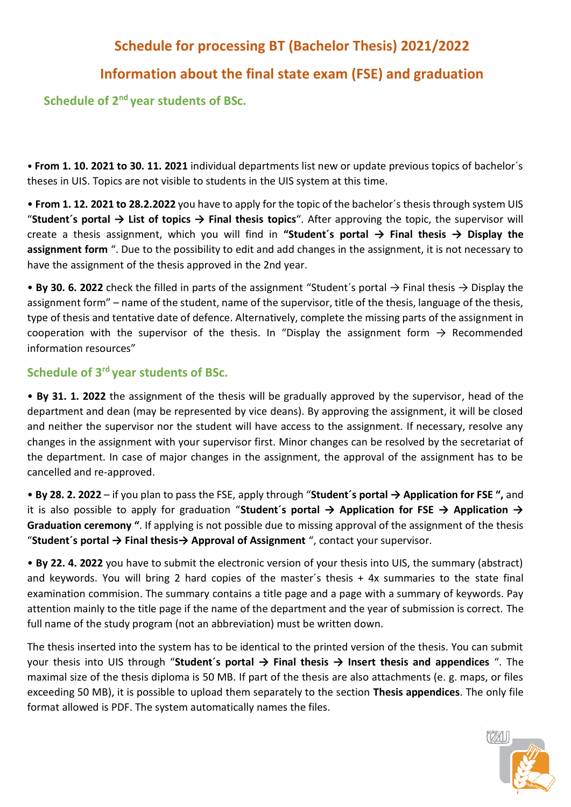# **Schedule for processing BT (Bachelor Thesis) 2021/2022**

## **Information about the final state exam (FSE) and graduation**

**Schedule of 2nd year students of BSc.** 

• **From 1. 10. 2021 to 30. 11. 2021** individual departments list new or update previous topics of bachelor´s theses in UIS. Topics are not visible to students in the UIS system at this time.

• **From 1. 12. 2021 to 28.2.2022** you have to apply for the topic of the bachelor´s thesis through system UIS "**Student´s portal → List of topics → Final thesis topics**". After approving the topic, the supervisor will create a thesis assignment, which you will find in **"Student´s portal → Final thesis → Display the assignment form** ". Due to the possibility to edit and add changes in the assignment, it is not necessary to have the assignment of the thesis approved in the 2nd year.

• **By 30. 6. 2022** check the filled in parts of the assignment "Student´s portal → Final thesis → Display the assignment form" – name of the student, name of the supervisor, title of the thesis, language of the thesis, type of thesis and tentative date of defence. Alternatively, complete the missing parts of the assignment in cooperation with the supervisor of the thesis. In "Display the assignment form  $\rightarrow$  Recommended information resources"

## **Schedule of 3rd year students of BSc.**

• **By 31. 1. 2022** the assignment of the thesis will be gradually approved by the supervisor, head of the department and dean (may be represented by vice deans). By approving the assignment, it will be closed and neither the supervisor nor the student will have access to the assignment. If necessary, resolve any changes in the assignment with your supervisor first. Minor changes can be resolved by the secretariat of the department. In case of major changes in the assignment, the approval of the assignment has to be cancelled and re-approved.

• **By 28. 2. 2022** – if you plan to pass the FSE, apply through "**Student´s portal → Application for FSE ",** and it is also possible to apply for graduation "**Student´s portal → Application for FSE → Application → Graduation ceremony "**. If applying is not possible due to missing approval of the assignment of the thesis "**Student´s portal → Final thesis→ Approval of Assignment** ", contact your supervisor.

• **By 22. 4. 2022** you have to submit the electronic version of your thesis into UIS, the summary (abstract) and keywords. You will bring 2 hard copies of the master´s thesis + 4x summaries to the state final examination commision. The summary contains a title page and a page with a summary of keywords. Pay attention mainly to the title page if the name of the department and the year of submission is correct. The full name of the study program (not an abbreviation) must be written down.

The thesis inserted into the system has to be identical to the printed version of the thesis. You can submit your thesis into UIS through "**Student´s portal → Final thesis → Insert thesis and appendices** ". The maximal size of the thesis diploma is 50 MB. If part of the thesis are also attachments (e. g. maps, or files exceeding 50 MB), it is possible to upload them separately to the section **Thesis appendices**. The only file format allowed is PDF. The system automatically names the files.

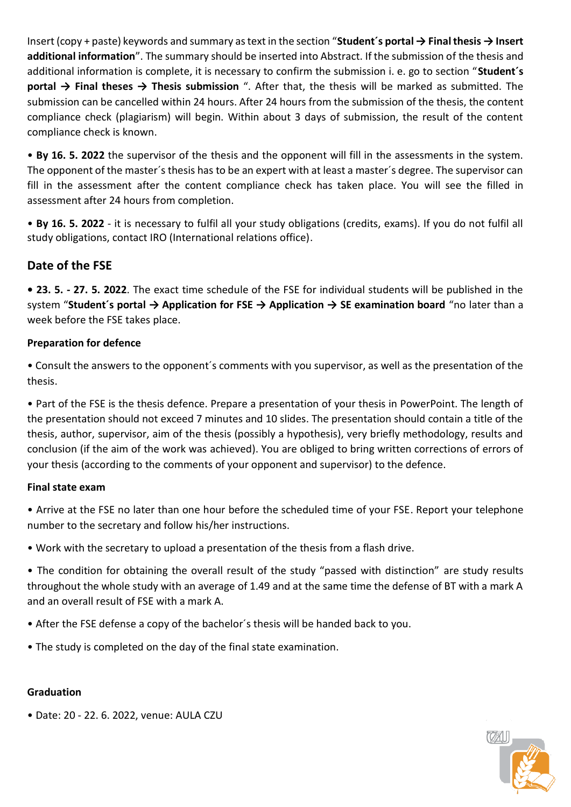Insert (copy + paste) keywords and summary as text in the section "**Student´s portal → Final thesis → Insert additional information**". The summary should be inserted into Abstract. If the submission of the thesis and additional information is complete, it is necessary to confirm the submission i. e. go to section "**Student´s portal → Final theses → Thesis submission** ". After that, the thesis will be marked as submitted. The submission can be cancelled within 24 hours. After 24 hours from the submission of the thesis, the content compliance check (plagiarism) will begin. Within about 3 days of submission, the result of the content compliance check is known.

• **By 16. 5. 2022** the supervisor of the thesis and the opponent will fill in the assessments in the system. The opponent of the master´s thesis has to be an expert with at least a master´s degree. The supervisor can fill in the assessment after the content compliance check has taken place. You will see the filled in assessment after 24 hours from completion.

• **By 16. 5. 2022** - it is necessary to fulfil all your study obligations (credits, exams). If you do not fulfil all study obligations, contact IRO (International relations office).

## **Date of the FSE**

**• 23. 5. - 27. 5. 2022**. The exact time schedule of the FSE for individual students will be published in the system "**Student's portal → Application for FSE → Application → SE examination board** "no later than a week before the FSE takes place.

### **Preparation for defence**

• Consult the answers to the opponent´s comments with you supervisor, as well as the presentation of the thesis.

• Part of the FSE is the thesis defence. Prepare a presentation of your thesis in PowerPoint. The length of the presentation should not exceed 7 minutes and 10 slides. The presentation should contain a title of the thesis, author, supervisor, aim of the thesis (possibly a hypothesis), very briefly methodology, results and conclusion (if the aim of the work was achieved). You are obliged to bring written corrections of errors of your thesis (according to the comments of your opponent and supervisor) to the defence.

#### **Final state exam**

• Arrive at the FSE no later than one hour before the scheduled time of your FSE. Report your telephone number to the secretary and follow his/her instructions.

• Work with the secretary to upload a presentation of the thesis from a flash drive.

• The condition for obtaining the overall result of the study "passed with distinction" are study results throughout the whole study with an average of 1.49 and at the same time the defense of BT with a mark A and an overall result of FSE with a mark A.

- After the FSE defense a copy of the bachelor´s thesis will be handed back to you.
- The study is completed on the day of the final state examination.

#### **Graduation**

• Date: 20 - 22. 6. 2022, venue: AULA CZU